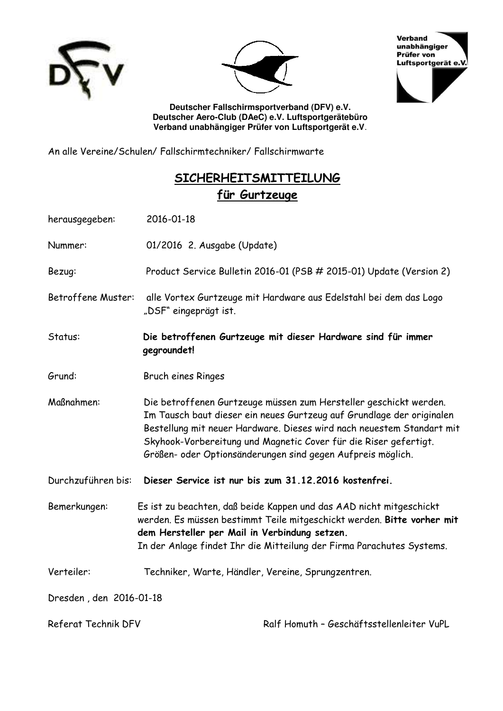





**Deutscher Fallschirmsportverband (DFV) e.V. Deutscher Aero-Club (DAeC) e.V. Luftsportgerätebüro Verband unabhängiger Prüfer von Luftsportgerät e.V**.

An alle Vereine/Schulen/ Fallschirmtechniker/ Fallschirmwarte

# **SICHERHEITSMITTEILUNG für Gurtzeuge**

| herausgegeben:          | 2016-01-18                                                                                                                                                                                                                                                                                                                                             |
|-------------------------|--------------------------------------------------------------------------------------------------------------------------------------------------------------------------------------------------------------------------------------------------------------------------------------------------------------------------------------------------------|
| Nummer:                 | 01/2016 2. Ausgabe (Update)                                                                                                                                                                                                                                                                                                                            |
| Bezug:                  | Product Service Bulletin 2016-01 (PSB # 2015-01) Update (Version 2)                                                                                                                                                                                                                                                                                    |
| Betroffene Muster:      | alle Vortex Gurtzeuge mit Hardware aus Edelstahl bei dem das Logo<br>"DSF" eingeprägt ist.                                                                                                                                                                                                                                                             |
| Status:                 | Die betroffenen Gurtzeuge mit dieser Hardware sind für immer<br>gegroundet!                                                                                                                                                                                                                                                                            |
| Grund:                  | <b>Bruch eines Ringes</b>                                                                                                                                                                                                                                                                                                                              |
| Maßnahmen:              | Die betroffenen Gurtzeuge müssen zum Hersteller geschickt werden.<br>Im Tausch baut dieser ein neues Gurtzeug auf Grundlage der originalen<br>Bestellung mit neuer Hardware. Dieses wird nach neuestem Standart mit<br>Skyhook-Vorbereitung und Magnetic Cover für die Riser gefertigt.<br>Größen- oder Optionsänderungen sind gegen Aufpreis möglich. |
| Durchzuführen bis:      | Dieser Service ist nur bis zum 31.12.2016 kostenfrei.                                                                                                                                                                                                                                                                                                  |
| Bemerkungen:            | Es ist zu beachten, daß beide Kappen und das AAD nicht mitgeschickt<br>werden. Es müssen bestimmt Teile mitgeschickt werden. Bitte vorher mit<br>dem Hersteller per Mail in Verbindung setzen.<br>In der Anlage findet Ihr die Mitteilung der Firma Parachutes Systems.                                                                                |
| Verteiler:              | Techniker, Warte, Händler, Vereine, Sprungzentren.                                                                                                                                                                                                                                                                                                     |
| Dresden, den 2016-01-18 |                                                                                                                                                                                                                                                                                                                                                        |
| Referat Technik DFV     | Ralf Homuth - Geschäftsstellenleiter VuPL                                                                                                                                                                                                                                                                                                              |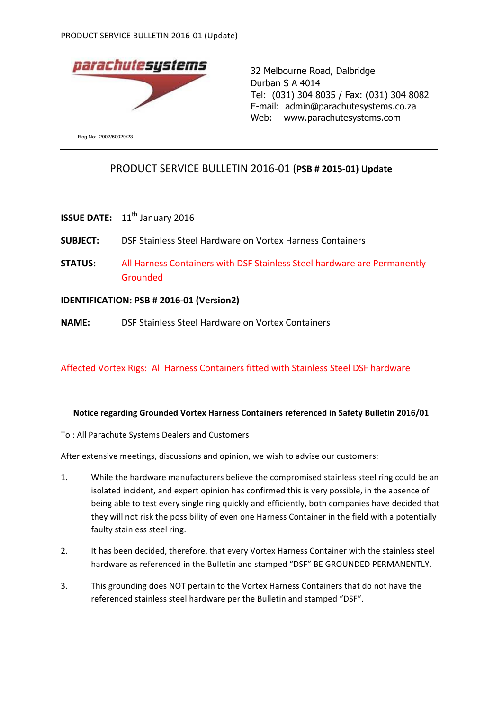

32 Melbourne Road, Dalbridge Durban S A 4014 Tel: (031) 304 8035 / Fax: (031) 304 8082 E-mail: admin@parachutesystems.co.za Web: www.parachutesystems.com

# PRODUCT SERVICE BULLETIN 2016-01 (**PSB # 2015-01) Update**

- **ISSUE DATE:** 11<sup>th</sup> January 2016
- **SUBJECT:** DSF Stainless Steel Hardware on Vortex Harness Containers
- **STATUS:** All Harness Containers with DSF Stainless Steel hardware are Permanently Grounded

### **IDENTIFICATION: PSB # 2016-01 (Version2)**

**NAME:** DSF Stainless Steel Hardware on Vortex Containers

# Affected Vortex Rigs: All Harness Containers fitted with Stainless Steel DSF hardware

#### Notice regarding Grounded Vortex Harness Containers referenced in Safety Bulletin 2016/01

#### To : All Parachute Systems Dealers and Customers

After extensive meetings, discussions and opinion, we wish to advise our customers:

- 1. While the hardware manufacturers believe the compromised stainless steel ring could be an isolated incident, and expert opinion has confirmed this is very possible, in the absence of being able to test every single ring quickly and efficiently, both companies have decided that they will not risk the possibility of even one Harness Container in the field with a potentially faulty stainless steel ring.
- 2. It has been decided, therefore, that every Vortex Harness Container with the stainless steel hardware as referenced in the Bulletin and stamped "DSF" BE GROUNDED PERMANENTLY.
- 3. This grounding does NOT pertain to the Vortex Harness Containers that do not have the referenced stainless steel hardware per the Bulletin and stamped "DSF".